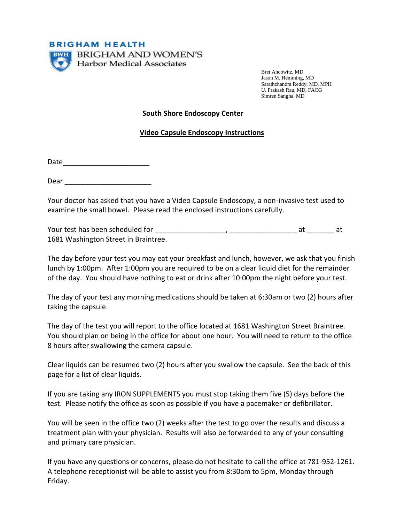

Bret Ancowitz, MD Jason M. Hemming, MD Sarathchandra Reddy, MD, MPH U. Prakash Rau, MD, FACG Simren Sangha, MD

## **South Shore Endoscopy Center**

## **Video Capsule Endoscopy Instructions**

Date\_\_\_\_\_\_\_\_\_\_\_\_\_\_\_\_\_\_\_\_\_\_

Dear **Dear** 

Your doctor has asked that you have a Video Capsule Endoscopy, a non-invasive test used to examine the small bowel. Please read the enclosed instructions carefully.

Your test has been scheduled for \_\_\_\_\_\_\_\_\_\_\_\_\_\_\_\_\_\_, \_\_\_\_\_\_\_\_\_\_\_\_\_\_\_\_\_ at \_\_\_\_\_\_\_ at 1681 Washington Street in Braintree.

The day before your test you may eat your breakfast and lunch, however, we ask that you finish lunch by 1:00pm. After 1:00pm you are required to be on a clear liquid diet for the remainder of the day. You should have nothing to eat or drink after 10:00pm the night before your test.

The day of your test any morning medications should be taken at 6:30am or two (2) hours after taking the capsule.

The day of the test you will report to the office located at 1681 Washington Street Braintree. You should plan on being in the office for about one hour. You will need to return to the office 8 hours after swallowing the camera capsule.

Clear liquids can be resumed two (2) hours after you swallow the capsule. See the back of this page for a list of clear liquids.

If you are taking any IRON SUPPLEMENTS you must stop taking them five (5) days before the test. Please notify the office as soon as possible if you have a pacemaker or defibrillator.

You will be seen in the office two (2) weeks after the test to go over the results and discuss a treatment plan with your physician. Results will also be forwarded to any of your consulting and primary care physician.

If you have any questions or concerns, please do not hesitate to call the office at 781-952-1261. A telephone receptionist will be able to assist you from 8:30am to 5pm, Monday through Friday.